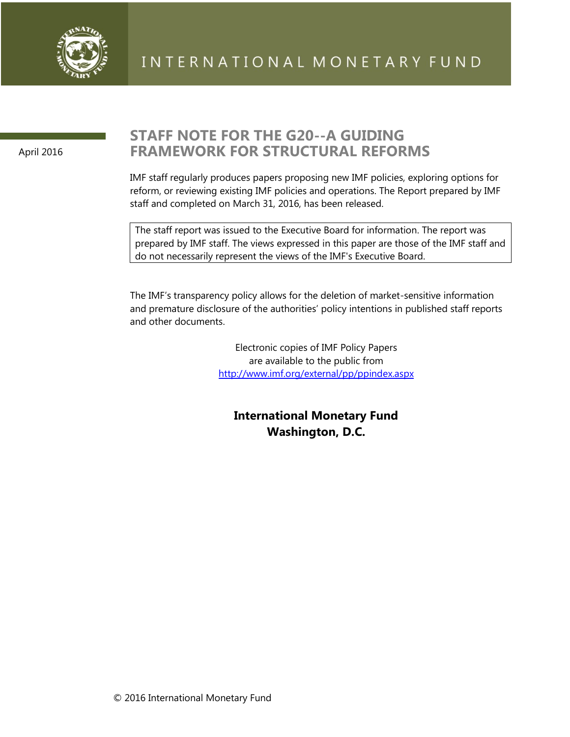

April 2016

## **STAFF NOTE FOR THE G20--A GUIDING FRAMEWORK FOR STRUCTURAL REFORMS**

IMF staff regularly produces papers proposing new IMF policies, exploring options for reform, or reviewing existing IMF policies and operations. The Report prepared by IMF staff and completed on March 31, 2016, has been released.

The staff report was issued to the Executive Board for information. The report was prepared by IMF staff. The views expressed in this paper are those of the IMF staff and do not necessarily represent the views of the IMF's Executive Board.

The IMF's transparency policy allows for the deletion of market-sensitive information and premature disclosure of the authorities' policy intentions in published staff reports and other documents.

> Electronic copies of IMF Policy Papers are available to the public from <http://www.imf.org/external/pp/ppindex.aspx>

**International Monetary Fund Washington, D.C.**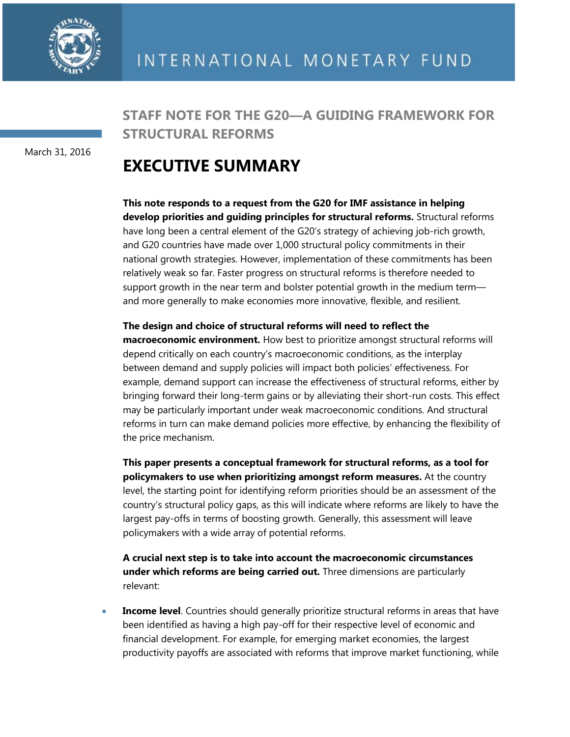

March 31, 2016

**STAFF NOTE FOR THE G20—A GUIDING FRAMEWORK FOR STRUCTURAL REFORMS**

# **EXECUTIVE SUMMARY**

**This note responds to a request from the G20 for IMF assistance in helping develop priorities and guiding principles for structural reforms.** Structural reforms have long been a central element of the G20's strategy of achieving job-rich growth, and G20 countries have made over 1,000 structural policy commitments in their national growth strategies. However, implementation of these commitments has been relatively weak so far. Faster progress on structural reforms is therefore needed to support growth in the near term and bolster potential growth in the medium term and more generally to make economies more innovative, flexible, and resilient.

#### **The design and choice of structural reforms will need to reflect the**

**macroeconomic environment.** How best to prioritize amongst structural reforms will depend critically on each country's macroeconomic conditions, as the interplay between demand and supply policies will impact both policies' effectiveness. For example, demand support can increase the effectiveness of structural reforms, either by bringing forward their long-term gains or by alleviating their short-run costs. This effect may be particularly important under weak macroeconomic conditions. And structural reforms in turn can make demand policies more effective, by enhancing the flexibility of the price mechanism.

**This paper presents a conceptual framework for structural reforms, as a tool for policymakers to use when prioritizing amongst reform measures.** At the country level, the starting point for identifying reform priorities should be an assessment of the country's structural policy gaps, as this will indicate where reforms are likely to have the largest pay-offs in terms of boosting growth. Generally, this assessment will leave policymakers with a wide array of potential reforms.

**A crucial next step is to take into account the macroeconomic circumstances under which reforms are being carried out.** Three dimensions are particularly relevant:

 **Income level**. Countries should generally prioritize structural reforms in areas that have been identified as having a high pay-off for their respective level of economic and financial development. For example, for emerging market economies, the largest productivity payoffs are associated with reforms that improve market functioning, while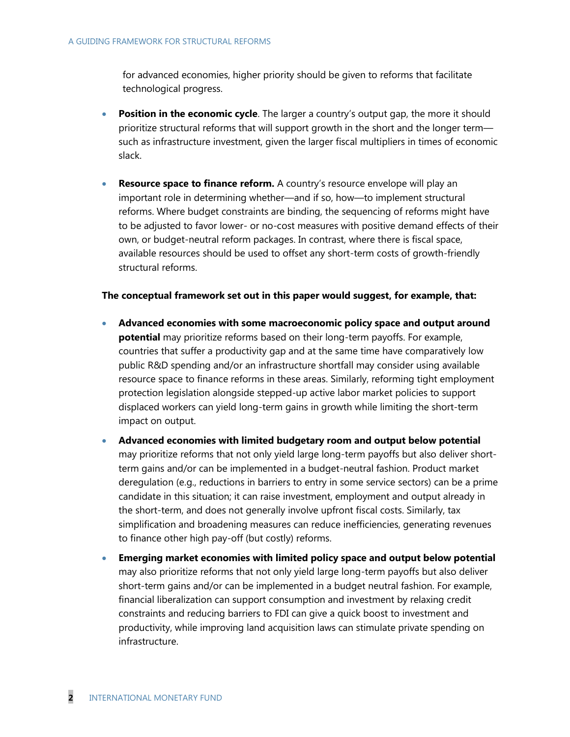for advanced economies, higher priority should be given to reforms that facilitate technological progress.

- **Position in the economic cycle**. The larger a country's output gap, the more it should prioritize structural reforms that will support growth in the short and the longer term such as infrastructure investment, given the larger fiscal multipliers in times of economic slack.
- **Resource space to finance reform.** A country's resource envelope will play an important role in determining whether—and if so, how—to implement structural reforms. Where budget constraints are binding, the sequencing of reforms might have to be adjusted to favor lower- or no-cost measures with positive demand effects of their own, or budget-neutral reform packages. In contrast, where there is fiscal space, available resources should be used to offset any short-term costs of growth-friendly structural reforms.

#### **The conceptual framework set out in this paper would suggest, for example, that:**

- **Advanced economies with some macroeconomic policy space and output around potential** may prioritize reforms based on their long-term payoffs. For example, countries that suffer a productivity gap and at the same time have comparatively low public R&D spending and/or an infrastructure shortfall may consider using available resource space to finance reforms in these areas. Similarly, reforming tight employment protection legislation alongside stepped-up active labor market policies to support displaced workers can yield long-term gains in growth while limiting the short-term impact on output.
- **Advanced economies with limited budgetary room and output below potential** may prioritize reforms that not only yield large long-term payoffs but also deliver shortterm gains and/or can be implemented in a budget-neutral fashion. Product market deregulation (e.g., reductions in barriers to entry in some service sectors) can be a prime candidate in this situation; it can raise investment, employment and output already in the short-term, and does not generally involve upfront fiscal costs. Similarly, tax simplification and broadening measures can reduce inefficiencies, generating revenues to finance other high pay-off (but costly) reforms.
- **Emerging market economies with limited policy space and output below potential** may also prioritize reforms that not only yield large long-term payoffs but also deliver short-term gains and/or can be implemented in a budget neutral fashion. For example, financial liberalization can support consumption and investment by relaxing credit constraints and reducing barriers to FDI can give a quick boost to investment and productivity, while improving land acquisition laws can stimulate private spending on infrastructure.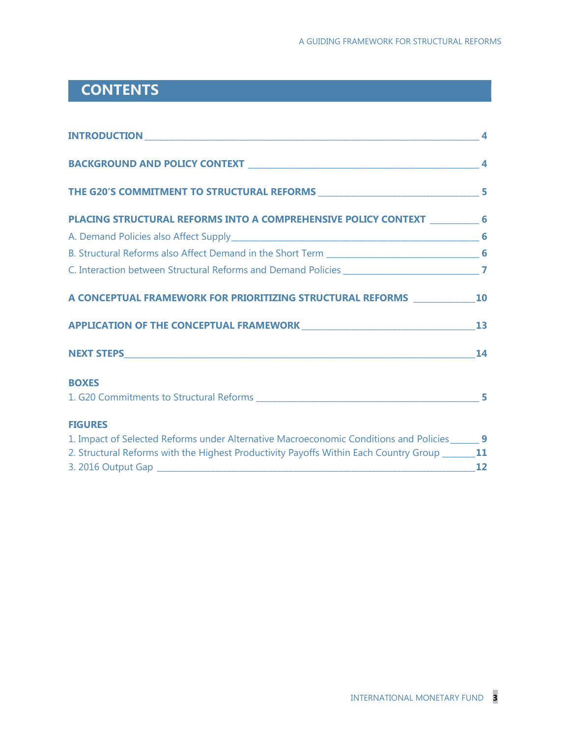## **CONTENTS**

| PLACING STRUCTURAL REFORMS INTO A COMPREHENSIVE POLICY CONTEXT ___________ 6                     |    |
|--------------------------------------------------------------------------------------------------|----|
|                                                                                                  |    |
|                                                                                                  |    |
|                                                                                                  |    |
| A CONCEPTUAL FRAMEWORK FOR PRIORITIZING STRUCTURAL REFORMS ______________________ 10             |    |
|                                                                                                  |    |
|                                                                                                  |    |
| <b>BOXES</b>                                                                                     |    |
|                                                                                                  |    |
| <b>FIGURES</b>                                                                                   |    |
| 1. Impact of Selected Reforms under Alternative Macroeconomic Conditions and Policies______ 9    |    |
| 2. Structural Reforms with the Highest Productivity Payoffs Within Each Country Group _______ 11 |    |
|                                                                                                  | 12 |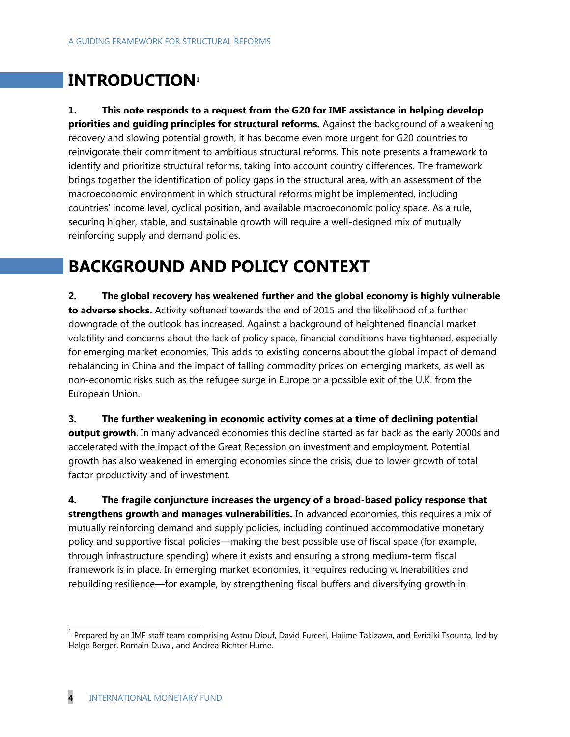# **INTRODUCTION<sup>1</sup>**

**1. This note responds to a request from the G20 for IMF assistance in helping develop priorities and guiding principles for structural reforms.** Against the background of a weakening recovery and slowing potential growth, it has become even more urgent for G20 countries to reinvigorate their commitment to ambitious structural reforms. This note presents a framework to identify and prioritize structural reforms, taking into account country differences. The framework brings together the identification of policy gaps in the structural area, with an assessment of the macroeconomic environment in which structural reforms might be implemented, including countries' income level, cyclical position, and available macroeconomic policy space. As a rule, securing higher, stable, and sustainable growth will require a well-designed mix of mutually reinforcing supply and demand policies.

# **BACKGROUND AND POLICY CONTEXT**

**2. The global recovery has weakened further and the global economy is highly vulnerable to adverse shocks.** Activity softened towards the end of 2015 and the likelihood of a further downgrade of the outlook has increased. Against a background of heightened financial market volatility and concerns about the lack of policy space, financial conditions have tightened, especially for emerging market economies. This adds to existing concerns about the global impact of demand rebalancing in China and the impact of falling commodity prices on emerging markets, as well as non-economic risks such as the refugee surge in Europe or a possible exit of the U.K. from the European Union.

**3. The further weakening in economic activity comes at a time of declining potential output growth**. In many advanced economies this decline started as far back as the early 2000s and accelerated with the impact of the Great Recession on investment and employment. Potential growth has also weakened in emerging economies since the crisis, due to lower growth of total factor productivity and of investment.

**4. The fragile conjuncture increases the urgency of a broad-based policy response that strengthens growth and manages vulnerabilities.** In advanced economies, this requires a mix of mutually reinforcing demand and supply policies, including continued accommodative monetary policy and supportive fiscal policies—making the best possible use of fiscal space (for example, through infrastructure spending) where it exists and ensuring a strong medium-term fiscal framework is in place. In emerging market economies, it requires reducing vulnerabilities and rebuilding resilience—for example, by strengthening fiscal buffers and diversifying growth in

 $\overline{a}$ 

<sup>&</sup>lt;sup>1</sup> Prepared by an IMF staff team comprising Astou Diouf, David Furceri, Hajime Takizawa, and Evridiki Tsounta, led by Helge Berger, Romain Duval, and Andrea Richter Hume.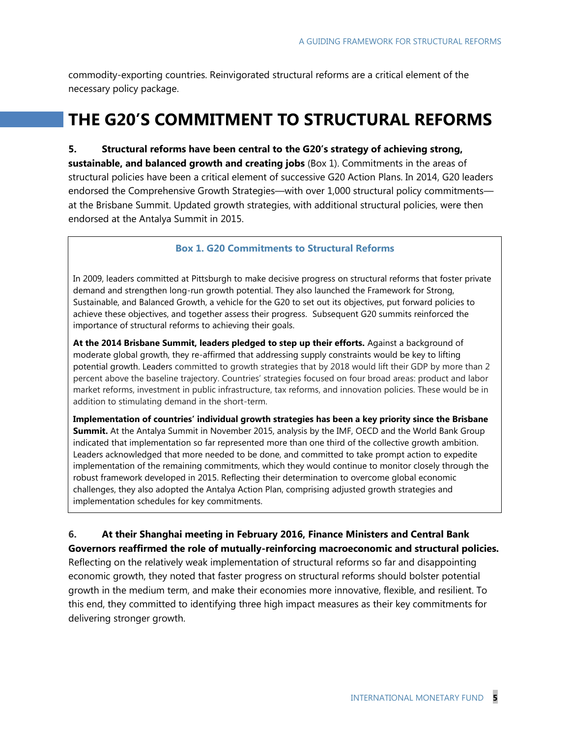commodity-exporting countries. Reinvigorated structural reforms are a critical element of the necessary policy package.

# **THE G20'S COMMITMENT TO STRUCTURAL REFORMS**

**5. Structural reforms have been central to the G20's strategy of achieving strong, sustainable, and balanced growth and creating jobs** (Box 1). Commitments in the areas of structural policies have been a critical element of successive G20 Action Plans. In 2014, G20 leaders endorsed the Comprehensive Growth Strategies—with over 1,000 structural policy commitments at the Brisbane Summit. Updated growth strategies, with additional structural policies, were then endorsed at the Antalya Summit in 2015.

#### **Box 1. G20 Commitments to Structural Reforms**

In 2009, leaders committed at Pittsburgh to make decisive progress on structural reforms that foster private demand and strengthen long-run growth potential. They also launched the Framework for Strong, Sustainable, and Balanced Growth, a vehicle for the G20 to set out its objectives, put forward policies to achieve these objectives, and together assess their progress. Subsequent G20 summits reinforced the importance of structural reforms to achieving their goals.

**At the 2014 Brisbane Summit, leaders pledged to step up their efforts.** Against a background of moderate global growth, they re-affirmed that addressing supply constraints would be key to lifting potential growth. Leaders committed to growth strategies that by 2018 would lift their GDP by more than 2 percent above the baseline trajectory. Countries' strategies focused on four broad areas: product and labor market reforms, investment in public infrastructure, tax reforms, and innovation policies. These would be in addition to stimulating demand in the short-term.

**Implementation of countries' individual growth strategies has been a key priority since the Brisbane Summit.** At the Antalya Summit in November 2015, analysis by the IMF, OECD and the World Bank Group indicated that implementation so far represented more than one third of the collective growth ambition. Leaders acknowledged that more needed to be done, and committed to take prompt action to expedite implementation of the remaining commitments, which they would continue to monitor closely through the robust framework developed in 2015. Reflecting their determination to overcome global economic challenges, they also adopted the Antalya Action Plan, comprising adjusted growth strategies and implementation schedules for key commitments.

**6. At their Shanghai meeting in February 2016, Finance Ministers and Central Bank Governors reaffirmed the role of mutually-reinforcing macroeconomic and structural policies.** Reflecting on the relatively weak implementation of structural reforms so far and disappointing economic growth, they noted that faster progress on structural reforms should bolster potential growth in the medium term, and make their economies more innovative, flexible, and resilient. To this end, they committed to identifying three high impact measures as their key commitments for delivering stronger growth.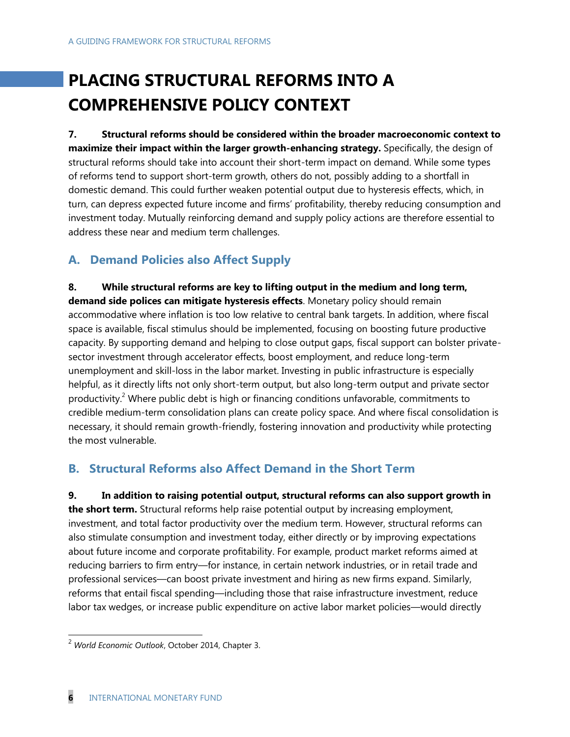# **PLACING STRUCTURAL REFORMS INTO A COMPREHENSIVE POLICY CONTEXT**

**7. Structural reforms should be considered within the broader macroeconomic context to maximize their impact within the larger growth-enhancing strategy.** Specifically, the design of structural reforms should take into account their short-term impact on demand. While some types of reforms tend to support short-term growth, others do not, possibly adding to a shortfall in domestic demand. This could further weaken potential output due to hysteresis effects, which, in turn, can depress expected future income and firms' profitability, thereby reducing consumption and investment today. Mutually reinforcing demand and supply policy actions are therefore essential to address these near and medium term challenges.

## **A. Demand Policies also Affect Supply**

**8. While structural reforms are key to lifting output in the medium and long term, demand side polices can mitigate hysteresis effects**. Monetary policy should remain accommodative where inflation is too low relative to central bank targets. In addition, where fiscal space is available, fiscal stimulus should be implemented, focusing on boosting future productive capacity. By supporting demand and helping to close output gaps, fiscal support can bolster privatesector investment through accelerator effects, boost employment, and reduce long-term unemployment and skill-loss in the labor market. Investing in public infrastructure is especially helpful, as it directly lifts not only short-term output, but also long-term output and private sector productivity.<sup>2</sup> Where public debt is high or financing conditions unfavorable, commitments to credible medium-term consolidation plans can create policy space. And where fiscal consolidation is necessary, it should remain growth-friendly, fostering innovation and productivity while protecting the most vulnerable.

## **B. Structural Reforms also Affect Demand in the Short Term**

**9. In addition to raising potential output, structural reforms can also support growth in the short term.** Structural reforms help raise potential output by increasing employment, investment, and total factor productivity over the medium term. However, structural reforms can also stimulate consumption and investment today, either directly or by improving expectations about future income and corporate profitability. For example, product market reforms aimed at reducing barriers to firm entry—for instance, in certain network industries, or in retail trade and professional services—can boost private investment and hiring as new firms expand. Similarly, reforms that entail fiscal spending—including those that raise infrastructure investment, reduce labor tax wedges, or increase public expenditure on active labor market policies—would directly

 $\overline{a}$ 

<sup>2</sup> *World Economic Outlook*, October 2014, Chapter 3.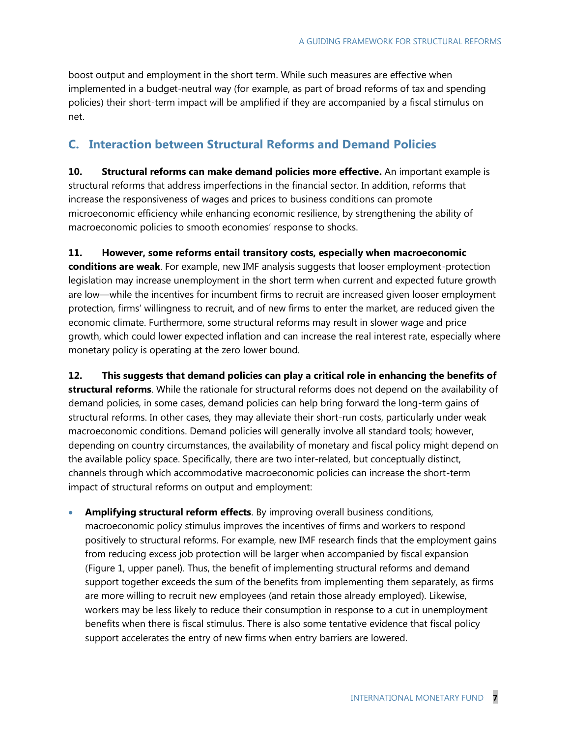boost output and employment in the short term. While such measures are effective when implemented in a budget-neutral way (for example, as part of broad reforms of tax and spending policies) their short-term impact will be amplified if they are accompanied by a fiscal stimulus on net.

## **C. Interaction between Structural Reforms and Demand Policies**

**10. Structural reforms can make demand policies more effective.** An important example is structural reforms that address imperfections in the financial sector. In addition, reforms that increase the responsiveness of wages and prices to business conditions can promote microeconomic efficiency while enhancing economic resilience, by strengthening the ability of macroeconomic policies to smooth economies' response to shocks.

**11. However, some reforms entail transitory costs, especially when macroeconomic conditions are weak**. For example, new IMF analysis suggests that looser employment-protection legislation may increase unemployment in the short term when current and expected future growth are low—while the incentives for incumbent firms to recruit are increased given looser employment protection, firms' willingness to recruit, and of new firms to enter the market, are reduced given the economic climate. Furthermore, some structural reforms may result in slower wage and price growth, which could lower expected inflation and can increase the real interest rate, especially where monetary policy is operating at the zero lower bound.

**12. This suggests that demand policies can play a critical role in enhancing the benefits of structural reforms**. While the rationale for structural reforms does not depend on the availability of demand policies, in some cases, demand policies can help bring forward the long-term gains of structural reforms. In other cases, they may alleviate their short-run costs, particularly under weak macroeconomic conditions. Demand policies will generally involve all standard tools; however, depending on country circumstances, the availability of monetary and fiscal policy might depend on the available policy space. Specifically, there are two inter-related, but conceptually distinct, channels through which accommodative macroeconomic policies can increase the short-term impact of structural reforms on output and employment:

 **Amplifying structural reform effects**. By improving overall business conditions, macroeconomic policy stimulus improves the incentives of firms and workers to respond positively to structural reforms. For example, new IMF research finds that the employment gains from reducing excess job protection will be larger when accompanied by fiscal expansion (Figure 1, upper panel). Thus, the benefit of implementing structural reforms and demand support together exceeds the sum of the benefits from implementing them separately, as firms are more willing to recruit new employees (and retain those already employed). Likewise, workers may be less likely to reduce their consumption in response to a cut in unemployment benefits when there is fiscal stimulus. There is also some tentative evidence that fiscal policy support accelerates the entry of new firms when entry barriers are lowered.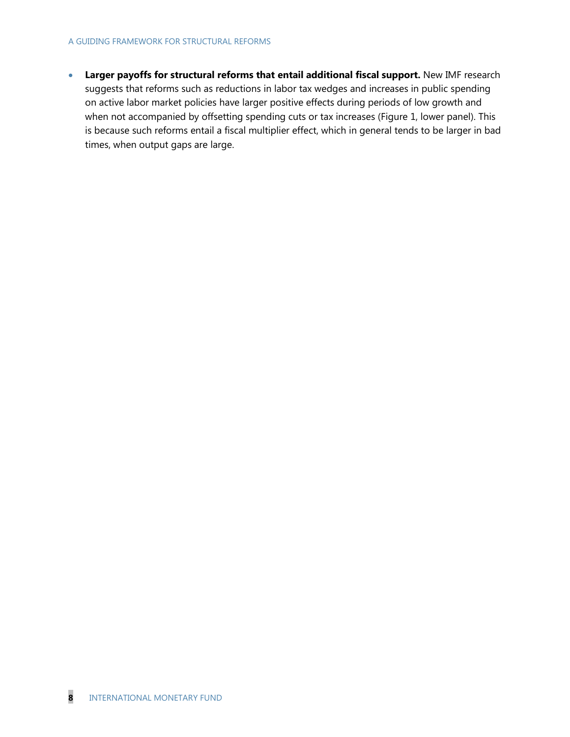#### A GUIDING FRAMEWORK FOR STRUCTURAL REFORMS

**Larger payoffs for structural reforms that entail additional fiscal support.** New IMF research suggests that reforms such as reductions in labor tax wedges and increases in public spending on active labor market policies have larger positive effects during periods of low growth and when not accompanied by offsetting spending cuts or tax increases (Figure 1, lower panel). This is because such reforms entail a fiscal multiplier effect, which in general tends to be larger in bad times, when output gaps are large.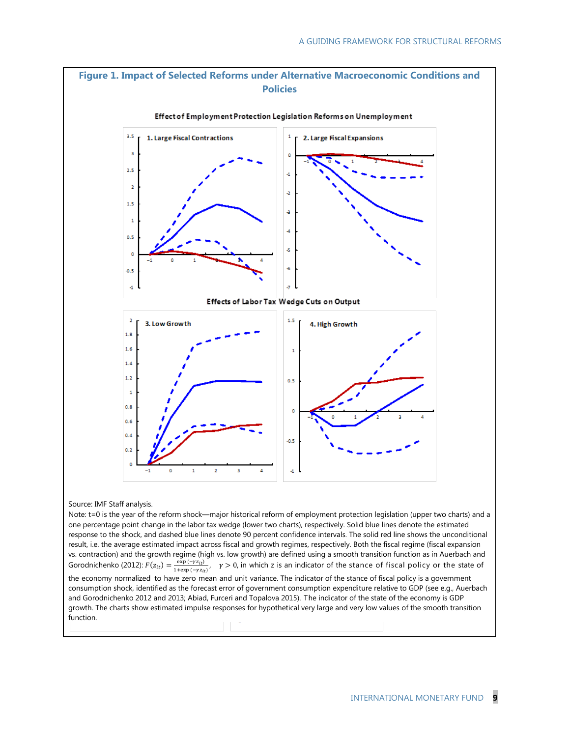

one percentage point change in the labor tax wedge (lower two charts), respectively. Solid blue lines denote the estimated response to the shock, and dashed blue lines denote 90 percent confidence intervals. The solid red line shows the unconditional result, i.e. the average estimated impact across fiscal and growth regimes, respectively. Both the fiscal regime (fiscal expansion vs. contraction) and the growth regime (high vs. low growth) are defined using a smooth transition function as in Auerbach and Gorodnichenko (2012):  $F(z_{it}) = \frac{e}{\sqrt{2}}$  $\frac{\exp(-\gamma z_{it})}{1+\exp(-\gamma z_{it})}$ ,  $\gamma > 0$ , in which z is an indicator of the stance of fiscal policy or the state of the economy normalized to have zero mean and unit variance. The indicator of the stance of fiscal policy is a government consumption shock, identified as the forecast error of government consumption expenditure relative to GDP (see e.g., Auerbach and Gorodnichenko 2012 and 2013; Abiad, Furceri and Topalova 2015). The indicator of the state of the economy is GDP growth. The charts show estimated impulse responses for hypothetical very large and very low values of the smooth transition function.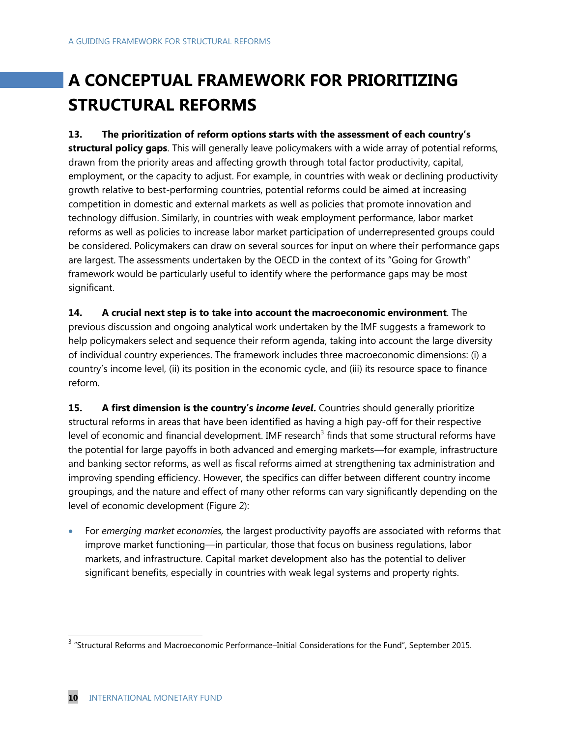# **A CONCEPTUAL FRAMEWORK FOR PRIORITIZING STRUCTURAL REFORMS**

### **13. The prioritization of reform options starts with the assessment of each country's**

**structural policy gaps**. This will generally leave policymakers with a wide array of potential reforms, drawn from the priority areas and affecting growth through total factor productivity, capital, employment, or the capacity to adjust. For example, in countries with weak or declining productivity growth relative to best-performing countries, potential reforms could be aimed at increasing competition in domestic and external markets as well as policies that promote innovation and technology diffusion. Similarly, in countries with weak employment performance, labor market reforms as well as policies to increase labor market participation of underrepresented groups could be considered. Policymakers can draw on several sources for input on where their performance gaps are largest. The assessments undertaken by the OECD in the context of its "Going for Growth" framework would be particularly useful to identify where the performance gaps may be most significant.

## **14. A crucial next step is to take into account the macroeconomic environment**. The previous discussion and ongoing analytical work undertaken by the IMF suggests a framework to help policymakers select and sequence their reform agenda, taking into account the large diversity of individual country experiences. The framework includes three macroeconomic dimensions: (i) a country's income level, (ii) its position in the economic cycle, and (iii) its resource space to finance reform.

**15. A first dimension is the country's** *income level***.** Countries should generally prioritize structural reforms in areas that have been identified as having a high pay-off for their respective level of economic and financial development. IMF research<sup>3</sup> finds that some structural reforms have the potential for large payoffs in both advanced and emerging markets—for example, infrastructure and banking sector reforms, as well as fiscal reforms aimed at strengthening tax administration and improving spending efficiency. However, the specifics can differ between different country income groupings, and the nature and effect of many other reforms can vary significantly depending on the level of economic development (Figure 2):

 For *emerging market economies,* the largest productivity payoffs are associated with reforms that improve market functioning—in particular, those that focus on business regulations, labor markets, and infrastructure. Capital market development also has the potential to deliver significant benefits, especially in countries with weak legal systems and property rights.

 3 "Structural Reforms and Macroeconomic Performance–Initial Considerations for the Fund", September 2015.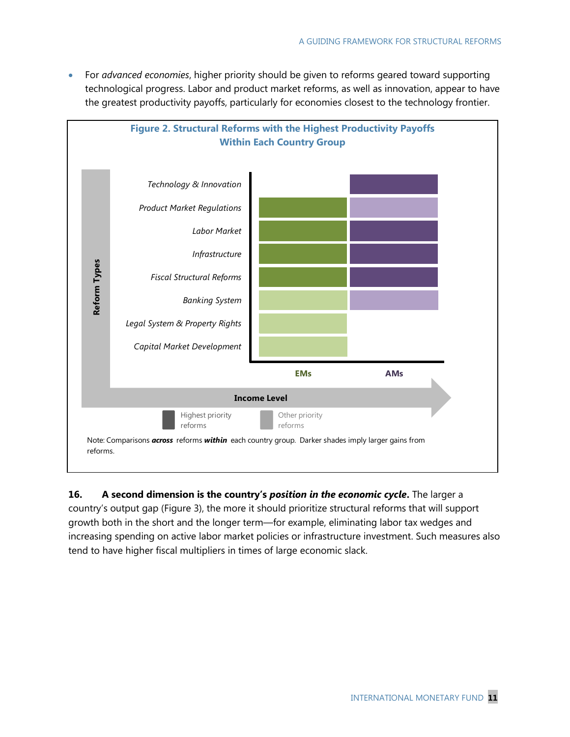For *advanced economies*, higher priority should be given to reforms geared toward supporting technological progress. Labor and product market reforms, as well as innovation, appear to have the greatest productivity payoffs, particularly for economies closest to the technology frontier.



## **16. A second dimension is the country's** *position in the economic cycle***.** The larger a country's output gap (Figure 3), the more it should prioritize structural reforms that will support growth both in the short and the longer term—for example, eliminating labor tax wedges and increasing spending on active labor market policies or infrastructure investment. Such measures also tend to have higher fiscal multipliers in times of large economic slack.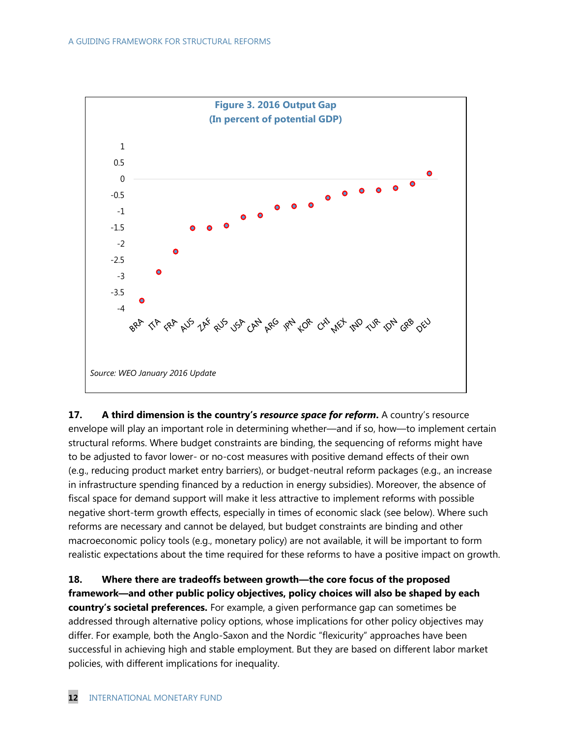

**17. A third dimension is the country's** *resource space for reform***.** A country's resource envelope will play an important role in determining whether—and if so, how—to implement certain structural reforms. Where budget constraints are binding, the sequencing of reforms might have to be adjusted to favor lower- or no-cost measures with positive demand effects of their own (e.g., reducing product market entry barriers), or budget-neutral reform packages (e.g., an increase in infrastructure spending financed by a reduction in energy subsidies). Moreover, the absence of fiscal space for demand support will make it less attractive to implement reforms with possible negative short-term growth effects, especially in times of economic slack (see below). Where such reforms are necessary and cannot be delayed, but budget constraints are binding and other macroeconomic policy tools (e.g., monetary policy) are not available, it will be important to form realistic expectations about the time required for these reforms to have a positive impact on growth.

**18. Where there are tradeoffs between growth—the core focus of the proposed framework—and other public policy objectives, policy choices will also be shaped by each country's societal preferences.** For example, a given performance gap can sometimes be addressed through alternative policy options, whose implications for other policy objectives may differ. For example, both the Anglo-Saxon and the Nordic "flexicurity" approaches have been successful in achieving high and stable employment. But they are based on different labor market policies, with different implications for inequality.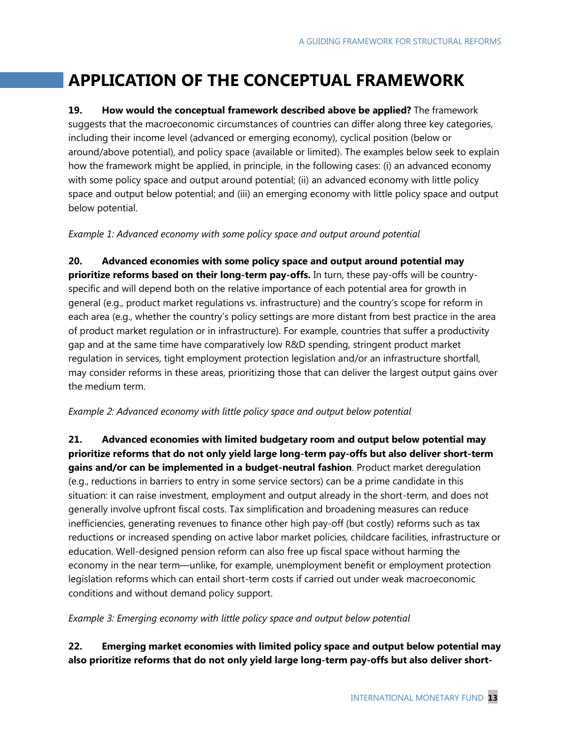# **APPLICATION OF THE CONCEPTUAL FRAMEWORK**

**19. How would the conceptual framework described above be applied?** The framework suggests that the macroeconomic circumstances of countries can differ along three key categories, including their income level (advanced or emerging economy), cyclical position (below or around/above potential), and policy space (available or limited). The examples below seek to explain how the framework might be applied, in principle, in the following cases: (i) an advanced economy with some policy space and output around potential; (ii) an advanced economy with little policy space and output below potential; and (iii) an emerging economy with little policy space and output below potential.

*Example 1: Advanced economy with some policy space and output around potential* 

**20. Advanced economies with some policy space and output around potential may prioritize reforms based on their long-term pay-offs.** In turn, these pay-offs will be countryspecific and will depend both on the relative importance of each potential area for growth in general (e.g., product market regulations vs. infrastructure) and the country's scope for reform in each area (e.g., whether the country's policy settings are more distant from best practice in the area of product market regulation or in infrastructure). For example, countries that suffer a productivity gap and at the same time have comparatively low R&D spending, stringent product market regulation in services, tight employment protection legislation and/or an infrastructure shortfall, may consider reforms in these areas, prioritizing those that can deliver the largest output gains over the medium term.

#### *Example 2: Advanced economy with little policy space and output below potential*

**21. Advanced economies with limited budgetary room and output below potential may prioritize reforms that do not only yield large long-term pay-offs but also deliver short-term gains and/or can be implemented in a budget-neutral fashion**. Product market deregulation (e.g., reductions in barriers to entry in some service sectors) can be a prime candidate in this situation: it can raise investment, employment and output already in the short-term, and does not generally involve upfront fiscal costs. Tax simplification and broadening measures can reduce inefficiencies, generating revenues to finance other high pay-off (but costly) reforms such as tax reductions or increased spending on active labor market policies, childcare facilities, infrastructure or education. Well-designed pension reform can also free up fiscal space without harming the economy in the near term—unlike, for example, unemployment benefit or employment protection legislation reforms which can entail short-term costs if carried out under weak macroeconomic conditions and without demand policy support.

*Example 3: Emerging economy with little policy space and output below potential*

### **22. Emerging market economies with limited policy space and output below potential may also prioritize reforms that do not only yield large long-term pay-offs but also deliver short-**